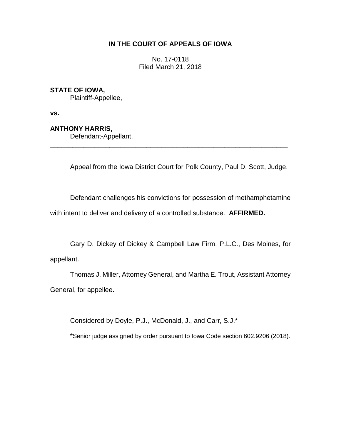# **IN THE COURT OF APPEALS OF IOWA**

No. 17-0118 Filed March 21, 2018

## **STATE OF IOWA,**

Plaintiff-Appellee,

**vs.**

## **ANTHONY HARRIS,**

Defendant-Appellant.

Appeal from the Iowa District Court for Polk County, Paul D. Scott, Judge.

\_\_\_\_\_\_\_\_\_\_\_\_\_\_\_\_\_\_\_\_\_\_\_\_\_\_\_\_\_\_\_\_\_\_\_\_\_\_\_\_\_\_\_\_\_\_\_\_\_\_\_\_\_\_\_\_\_\_\_\_\_\_\_\_

Defendant challenges his convictions for possession of methamphetamine

with intent to deliver and delivery of a controlled substance. **AFFIRMED.**

Gary D. Dickey of Dickey & Campbell Law Firm, P.L.C., Des Moines, for appellant.

Thomas J. Miller, Attorney General, and Martha E. Trout, Assistant Attorney General, for appellee.

Considered by Doyle, P.J., McDonald, J., and Carr, S.J.\*

\*Senior judge assigned by order pursuant to Iowa Code section 602.9206 (2018).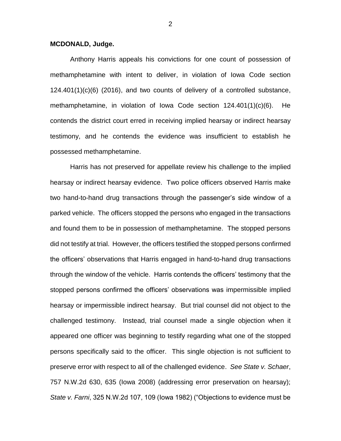### **MCDONALD, Judge.**

Anthony Harris appeals his convictions for one count of possession of methamphetamine with intent to deliver, in violation of Iowa Code section 124.401(1)(c)(6) (2016), and two counts of delivery of a controlled substance, methamphetamine, in violation of Iowa Code section 124.401(1)(c)(6). He contends the district court erred in receiving implied hearsay or indirect hearsay testimony, and he contends the evidence was insufficient to establish he possessed methamphetamine.

Harris has not preserved for appellate review his challenge to the implied hearsay or indirect hearsay evidence. Two police officers observed Harris make two hand-to-hand drug transactions through the passenger's side window of a parked vehicle. The officers stopped the persons who engaged in the transactions and found them to be in possession of methamphetamine. The stopped persons did not testify at trial. However, the officers testified the stopped persons confirmed the officers' observations that Harris engaged in hand-to-hand drug transactions through the window of the vehicle. Harris contends the officers' testimony that the stopped persons confirmed the officers' observations was impermissible implied hearsay or impermissible indirect hearsay. But trial counsel did not object to the challenged testimony. Instead, trial counsel made a single objection when it appeared one officer was beginning to testify regarding what one of the stopped persons specifically said to the officer. This single objection is not sufficient to preserve error with respect to all of the challenged evidence. *See State v. Schaer*, 757 N.W.2d 630, 635 (Iowa 2008) (addressing error preservation on hearsay); *State v. Farni*, 325 N.W.2d 107, 109 (Iowa 1982) ("Objections to evidence must be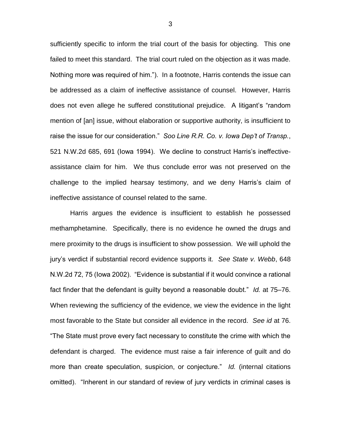sufficiently specific to inform the trial court of the basis for objecting. This one failed to meet this standard. The trial court ruled on the objection as it was made. Nothing more was required of him."). In a footnote, Harris contends the issue can be addressed as a claim of ineffective assistance of counsel. However, Harris does not even allege he suffered constitutional prejudice. A litigant's "random mention of [an] issue, without elaboration or supportive authority, is insufficient to raise the issue for our consideration." *Soo Line R.R. Co. v. Iowa Dep't of Transp.*, 521 N.W.2d 685, 691 (Iowa 1994). We decline to construct Harris's ineffectiveassistance claim for him. We thus conclude error was not preserved on the challenge to the implied hearsay testimony, and we deny Harris's claim of ineffective assistance of counsel related to the same.

Harris argues the evidence is insufficient to establish he possessed methamphetamine. Specifically, there is no evidence he owned the drugs and mere proximity to the drugs is insufficient to show possession. We will uphold the jury's verdict if substantial record evidence supports it. *See State v. Webb*, 648 N.W.2d 72, 75 (Iowa 2002). "Evidence is substantial if it would convince a rational fact finder that the defendant is guilty beyond a reasonable doubt." *Id.* at 75–76. When reviewing the sufficiency of the evidence, we view the evidence in the light most favorable to the State but consider all evidence in the record. *See id* at 76. "The State must prove every fact necessary to constitute the crime with which the defendant is charged. The evidence must raise a fair inference of guilt and do more than create speculation, suspicion, or conjecture." *Id.* (internal citations omitted). "Inherent in our standard of review of jury verdicts in criminal cases is

3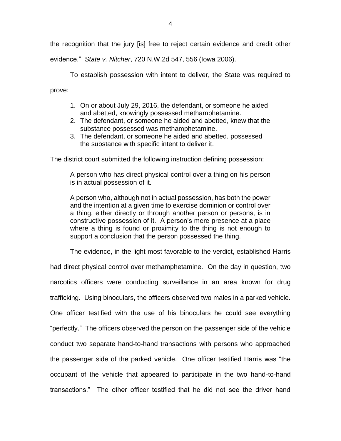the recognition that the jury [is] free to reject certain evidence and credit other

evidence." *State v. Nitcher*, 720 N.W.2d 547, 556 (Iowa 2006).

To establish possession with intent to deliver, the State was required to prove:

- 1. On or about July 29, 2016, the defendant, or someone he aided and abetted, knowingly possessed methamphetamine.
- 2. The defendant, or someone he aided and abetted, knew that the substance possessed was methamphetamine.
- 3. The defendant, or someone he aided and abetted, possessed the substance with specific intent to deliver it.

The district court submitted the following instruction defining possession:

A person who has direct physical control over a thing on his person is in actual possession of it.

A person who, although not in actual possession, has both the power and the intention at a given time to exercise dominion or control over a thing, either directly or through another person or persons, is in constructive possession of it. A person's mere presence at a place where a thing is found or proximity to the thing is not enough to support a conclusion that the person possessed the thing.

The evidence, in the light most favorable to the verdict, established Harris

had direct physical control over methamphetamine. On the day in question, two narcotics officers were conducting surveillance in an area known for drug trafficking. Using binoculars, the officers observed two males in a parked vehicle. One officer testified with the use of his binoculars he could see everything "perfectly." The officers observed the person on the passenger side of the vehicle conduct two separate hand-to-hand transactions with persons who approached the passenger side of the parked vehicle. One officer testified Harris was "the occupant of the vehicle that appeared to participate in the two hand-to-hand transactions." The other officer testified that he did not see the driver hand